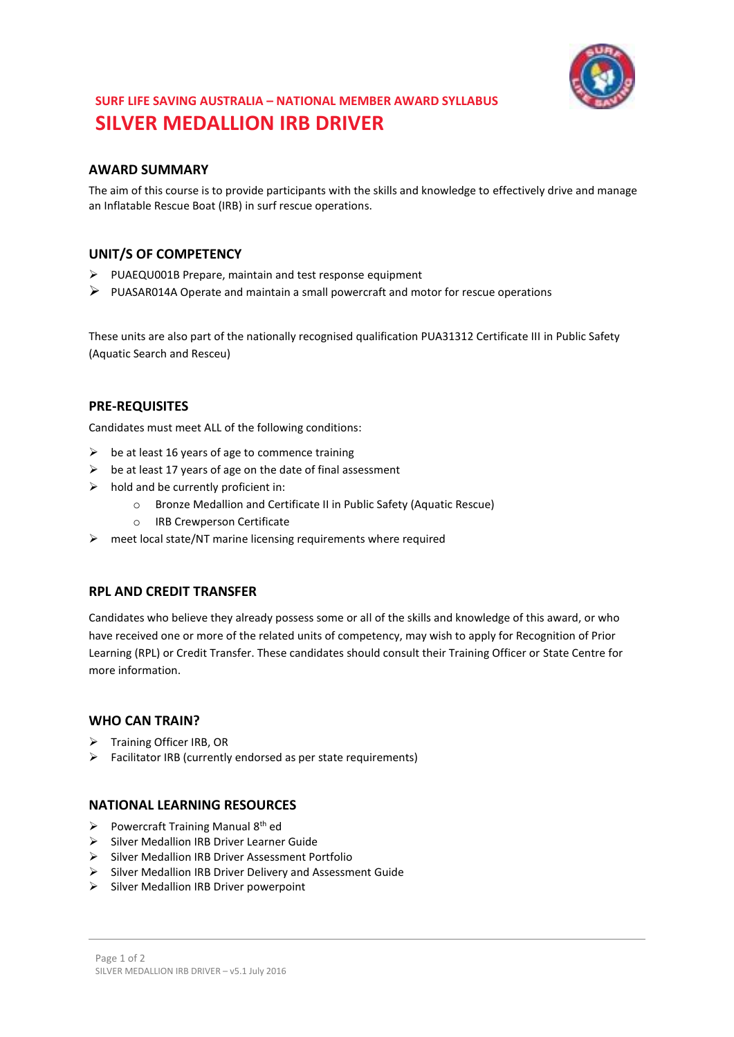

# **SURF LIFE SAVING AUSTRALIA – NATIONAL MEMBER AWARD SYLLABUS SILVER MEDALLION IRB DRIVER**

### **AWARD SUMMARY**

The aim of this course is to provide participants with the skills and knowledge to effectively drive and manage an Inflatable Rescue Boat (IRB) in surf rescue operations.

## **UNIT/S OF COMPETENCY**

- PUAEQU001B Prepare, maintain and test response equipment
- $\triangleright$  PUASAR014A Operate and maintain a small powercraft and motor for rescue operations

These units are also part of the nationally recognised qualification PUA31312 Certificate III in Public Safety (Aquatic Search and Resceu)

#### **PRE-REQUISITES**

Candidates must meet ALL of the following conditions:

- $\triangleright$  be at least 16 years of age to commence training
- $\triangleright$  be at least 17 years of age on the date of final assessment
- $\triangleright$  hold and be currently proficient in:
	- o Bronze Medallion and Certificate II in Public Safety (Aquatic Rescue)
	- o IRB Crewperson Certificate
- $\triangleright$  meet local state/NT marine licensing requirements where required

### **RPL AND CREDIT TRANSFER**

Candidates who believe they already possess some or all of the skills and knowledge of this award, or who have received one or more of the related units of competency, may wish to apply for Recognition of Prior Learning (RPL) or Credit Transfer. These candidates should consult their Training Officer or State Centre for more information.

#### **WHO CAN TRAIN?**

- $\triangleright$  Training Officer IRB, OR
- $\triangleright$  Facilitator IRB (currently endorsed as per state requirements)

## **NATIONAL LEARNING RESOURCES**

- Powercraft Training Manual  $8<sup>th</sup>$  ed
- Silver Medallion IRB Driver Learner Guide
- $\triangleright$  Silver Medallion IRB Driver Assessment Portfolio
- $\triangleright$  Silver Medallion IRB Driver Delivery and Assessment Guide
- $\triangleright$  Silver Medallion IRB Driver powerpoint